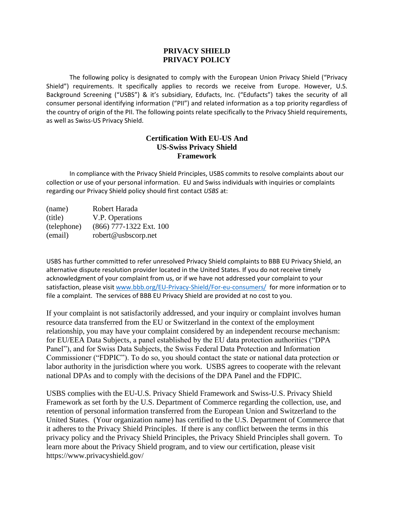### **PRIVACY SHIELD PRIVACY POLICY**

The following policy is designated to comply with the European Union Privacy Shield ("Privacy Shield") requirements. It specifically applies to records we receive from Europe. However, U.S. Background Screening ("USBS") & it's subsidiary, Edufacts, Inc. ("Edufacts") takes the security of all consumer personal identifying information ("PII") and related information as a top priority regardless of the country of origin of the PII. The following points relate specifically to the Privacy Shield requirements, as well as Swiss-US Privacy Shield.

### **Certification With EU-US And US-Swiss Privacy Shield Framework**

In compliance with the Privacy Shield Principles, USBS commits to resolve complaints about our collection or use of your personal information. EU and Swiss individuals with inquiries or complaints regarding our Privacy Shield policy should first contact *USBS* at:

| (name)      | Robert Harada           |
|-------------|-------------------------|
| (title)     | V.P. Operations         |
| (telephone) | (866) 777-1322 Ext. 100 |
| (email)     | robert@usbscorp.net     |

USBS has further committed to refer unresolved Privacy Shield complaints to BBB EU Privacy Shield, an alternative dispute resolution provider located in the United States. If you do not receive timely acknowledgment of your complaint from us, or if we have not addressed your complaint to your satisfaction, please visit [www.bbb.org/EU-Privacy-Shield/For-eu-consumers/](http://www.bbb.org/EU-Privacy-Shield/For-eu-consumers/) for more information or to file a complaint. The services of BBB EU Privacy Shield are provided at no cost to you.

If your complaint is not satisfactorily addressed, and your inquiry or complaint involves human resource data transferred from the EU or Switzerland in the context of the employment relationship, you may have your complaint considered by an independent recourse mechanism: for EU/EEA Data Subjects, a panel established by the EU data protection authorities ("DPA Panel"), and for Swiss Data Subjects, the Swiss Federal Data Protection and Information Commissioner ("FDPIC"). To do so, you should contact the state or national data protection or labor authority in the jurisdiction where you work. USBS agrees to cooperate with the relevant national DPAs and to comply with the decisions of the DPA Panel and the FDPIC.

USBS complies with the EU-U.S. Privacy Shield Framework and Swiss-U.S. Privacy Shield Framework as set forth by the U.S. Department of Commerce regarding the collection, use, and retention of personal information transferred from the European Union and Switzerland to the United States. (Your organization name) has certified to the U.S. Department of Commerce that it adheres to the Privacy Shield Principles. If there is any conflict between the terms in this privacy policy and the Privacy Shield Principles, the Privacy Shield Principles shall govern. To learn more about the Privacy Shield program, and to view our certification, please visit https://www.privacyshield.gov/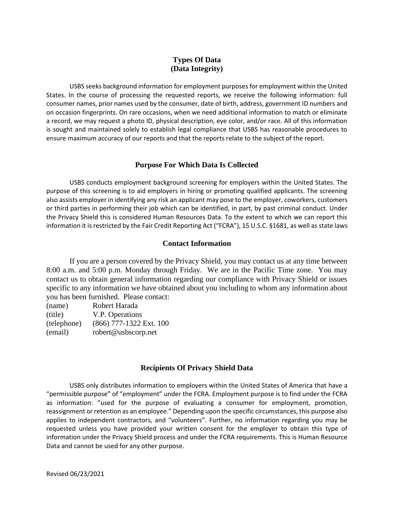# **Types Of Data (Data Integrity)**

USBS seeks background information for employment purposes for employment within the United States. In the course of processing the requested reports, we receive the following information: full consumer names, prior names used by the consumer, date of birth, address, government ID numbers and on occasion fingerprints. On rare occasions, when we need additional information to match or eliminate a record, we may request a photo ID, physical description, eye color, and/or race. All of this information is sought and maintained solely to establish legal compliance that USBS has reasonable procedures to ensure maximum accuracy of our reports and that the reports relate to the subject of the report.

## **Purpose For Which Data Is Collected**

USBS conducts employment background screening for employers within the United States. The purpose of this screening is to aid employers in hiring or promoting qualified applicants. The screening also assists employer in identifying any risk an applicant may pose to the employer, coworkers, customers or third parties in performing their job which can be identified, in part, by past criminal conduct. Under the Privacy Shield this is considered Human Resources Data. To the extent to which we can report this information it is restricted by the Fair Credit Reporting Act ("FCRA"), 15 U.S.C. §1681, as well as state laws

### **Contact Information**

If you are a person covered by the Privacy Shield, you may contact us at any time between 8:00 a.m. and 5:00 p.m. Monday through Friday. We are in the Pacific Time zone. You may contact us to obtain general information regarding our compliance with Privacy Shield or issues specific to any information we have obtained about you including to whom any information about you has been furnished. Please contact:

| (name)      | Robert Harada           |
|-------------|-------------------------|
| (title)     | V.P. Operations         |
| (telephone) | (866) 777-1322 Ext. 100 |
| (email)     | robert@usbscorp.net     |

# **Recipients Of Privacy Shield Data**

USBS only distributes information to employers within the United States of America that have a "permissible purpose" of "employment" under the FCRA. Employment purpose is to find under the FCRA as information: "used for the purpose of evaluating a consumer for employment, promotion, reassignment or retention as an employee." Depending upon the specific circumstances, this purpose also applies to independent contractors, and "volunteers". Further, no information regarding you may be requested unless you have provided your written consent for the employer to obtain this type of information under the Privacy Shield process and under the FCRA requirements. This is Human Resource Data and cannot be used for any other purpose.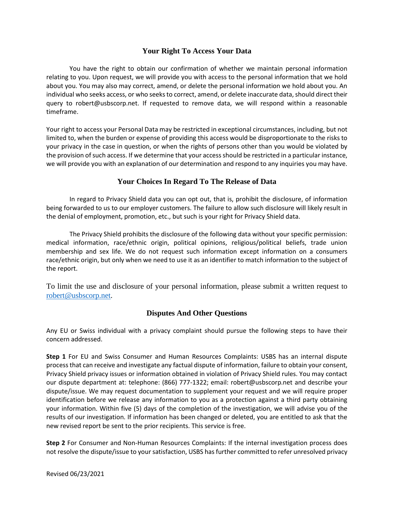# **Your Right To Access Your Data**

You have the right to obtain our confirmation of whether we maintain personal information relating to you. Upon request, we will provide you with access to the personal information that we hold about you. You may also may correct, amend, or delete the personal information we hold about you. An individual who seeks access, or who seeks to correct, amend, or delete inaccurate data, should direct their query to robert@usbscorp.net. If requested to remove data, we will respond within a reasonable timeframe.

Your right to access your Personal Data may be restricted in exceptional circumstances, including, but not limited to, when the burden or expense of providing this access would be disproportionate to the risks to your privacy in the case in question, or when the rights of persons other than you would be violated by the provision of such access. If we determine that your access should be restricted in a particular instance, we will provide you with an explanation of our determination and respond to any inquiries you may have.

## **Your Choices In Regard To The Release of Data**

In regard to Privacy Shield data you can opt out, that is, prohibit the disclosure, of information being forwarded to us to our employer customers. The failure to allow such disclosure will likely result in the denial of employment, promotion, etc., but such is your right for Privacy Shield data.

The Privacy Shield prohibits the disclosure of the following data without your specific permission: medical information, race/ethnic origin, political opinions, religious/political beliefs, trade union membership and sex life. We do not request such information except information on a consumers race/ethnic origin, but only when we need to use it as an identifier to match information to the subject of the report.

To limit the use and disclosure of your personal information, please submit a written request to [robert@usbscorp.net.](mailto:robert@usbscorp.net)

# **Disputes And Other Questions**

Any EU or Swiss individual with a privacy complaint should pursue the following steps to have their concern addressed.

**Step 1** For EU and Swiss Consumer and Human Resources Complaints: USBS has an internal dispute process that can receive and investigate any factual dispute of information, failure to obtain your consent, Privacy Shield privacy issues or information obtained in violation of Privacy Shield rules. You may contact our dispute department at: telephone: (866) 777-1322; email: robert@usbscorp.net and describe your dispute/issue. We may request documentation to supplement your request and we will require proper identification before we release any information to you as a protection against a third party obtaining your information. Within five (5) days of the completion of the investigation, we will advise you of the results of our investigation. If information has been changed or deleted, you are entitled to ask that the new revised report be sent to the prior recipients. This service is free.

**Step 2** For Consumer and Non-Human Resources Complaints: If the internal investigation process does not resolve the dispute/issue to your satisfaction, USBS has further committed to refer unresolved privacy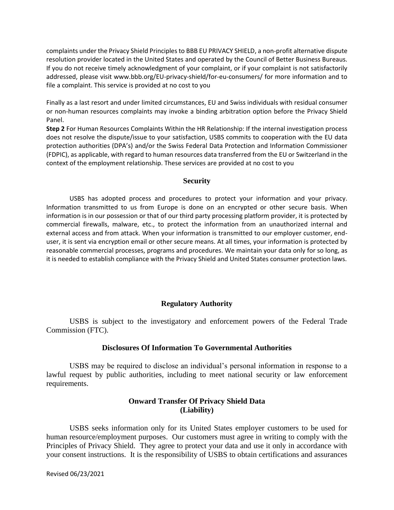complaints under the Privacy Shield Principles to BBB EU PRIVACY SHIELD, a non-profit alternative dispute resolution provider located in the United States and operated by the Council of Better Business Bureaus. If you do not receive timely acknowledgment of your complaint, or if your complaint is not satisfactorily addressed, please visit www.bbb.org/EU-privacy-shield/for-eu-consumers/ for more information and to file a complaint. This service is provided at no cost to you

Finally as a last resort and under limited circumstances, EU and Swiss individuals with residual consumer or non-human resources complaints may invoke a binding arbitration option before the Privacy Shield Panel.

**Step 2** For Human Resources Complaints Within the HR Relationship: If the internal investigation process does not resolve the dispute/issue to your satisfaction, USBS commits to cooperation with the EU data protection authorities (DPA's) and/or the Swiss Federal Data Protection and Information Commissioner (FDPIC), as applicable, with regard to human resources data transferred from the EU or Switzerland in the context of the employment relationship. These services are provided at no cost to you

#### **Security**

USBS has adopted process and procedures to protect your information and your privacy. Information transmitted to us from Europe is done on an encrypted or other secure basis. When information is in our possession or that of our third party processing platform provider, it is protected by commercial firewalls, malware, etc., to protect the information from an unauthorized internal and external access and from attack. When your information is transmitted to our employer customer, enduser, it is sent via encryption email or other secure means. At all times, your information is protected by reasonable commercial processes, programs and procedures. We maintain your data only for so long, as it is needed to establish compliance with the Privacy Shield and United States consumer protection laws.

### **Regulatory Authority**

USBS is subject to the investigatory and enforcement powers of the Federal Trade Commission (FTC).

### **Disclosures Of Information To Governmental Authorities**

USBS may be required to disclose an individual's personal information in response to a lawful request by public authorities, including to meet national security or law enforcement requirements.

## **Onward Transfer Of Privacy Shield Data (Liability)**

USBS seeks information only for its United States employer customers to be used for human resource/employment purposes. Our customers must agree in writing to comply with the Principles of Privacy Shield. They agree to protect your data and use it only in accordance with your consent instructions. It is the responsibility of USBS to obtain certifications and assurances